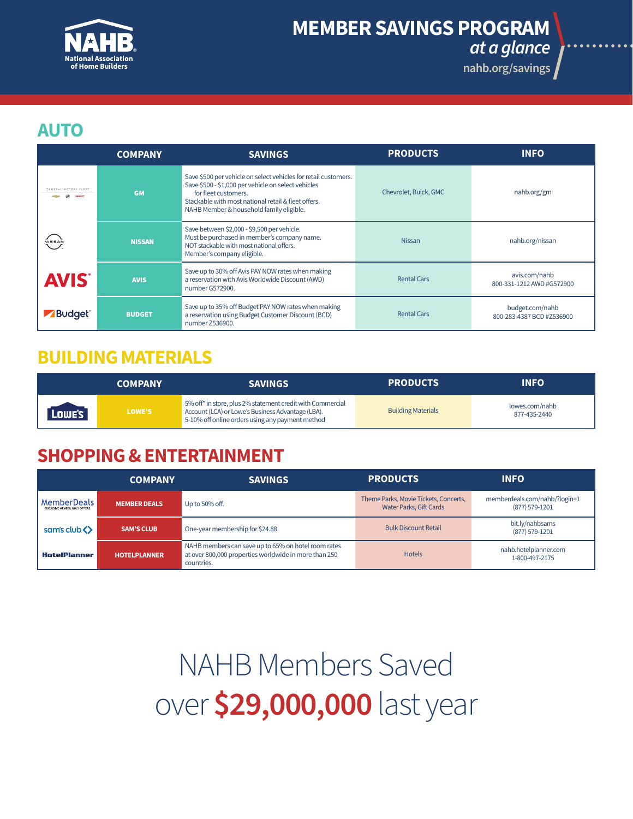

# **[MEMBER SAVINGS PROGRAM](http://nahb.org/savings)**

*at a glance*

**nahb.org/savings**

#### **AUTO**

|                                           | <b>COMPANY</b> | <b>SAVINGS</b>                                                                                                                                                                                                                                    | <b>PRODUCTS</b>       | <b>INFO</b>                                  |
|-------------------------------------------|----------------|---------------------------------------------------------------------------------------------------------------------------------------------------------------------------------------------------------------------------------------------------|-----------------------|----------------------------------------------|
| <b>GENERAL MOTORS FLEET</b><br><b>GMC</b> | <b>GM</b>      | Save \$500 per vehicle on select vehicles for retail customers.<br>Save \$500 - \$1,000 per vehicle on select vehicles<br>for fleet customers.<br>Stackable with most national retail & fleet offers.<br>NAHB Member & household family eligible. | Chevrolet, Buick, GMC | nahb.org/gm                                  |
| NISSAN                                    | <b>NISSAN</b>  | Save between \$2,000 - \$9,500 per vehicle.<br>Must be purchased in member's company name.<br>NOT stackable with most national offers.<br>Member's company eligible.                                                                              | <b>Nissan</b>         | nahb.org/nissan                              |
| <b>AVIS</b>                               | <b>AVIS</b>    | Save up to 30% off Avis PAY NOW rates when making<br>a reservation with Avis Worldwide Discount (AWD)<br>number G572900.                                                                                                                          | <b>Rental Cars</b>    | avis.com/nahb<br>800-331-1212 AWD #G572900   |
| <b>Budget</b>                             | <b>BUDGET</b>  | Save up to 35% off Budget PAY NOW rates when making<br>a reservation using Budget Customer Discount (BCD)<br>number Z536900.                                                                                                                      | <b>Rental Cars</b>    | budget.com/nahb<br>800-283-4387 BCD #Z536900 |

#### **BUILDING MATERIALS**

|        | <b>COMPANY</b> | <b>SAVINGS</b>                                                                                                                                                      | <b>PRODUCTS</b>           | <b>INFO</b>                    |
|--------|----------------|---------------------------------------------------------------------------------------------------------------------------------------------------------------------|---------------------------|--------------------------------|
| Lowe's | LOWE'S         | 5% off* in store, plus 2% statement credit with Commercial<br>Account (LCA) or Lowe's Business Advantage (LBA).<br>5-10% off online orders using any payment method | <b>Building Materials</b> | lowes.com/nahb<br>877-435-2440 |

### **SHOPPING & ENTERTAINMENT**

|                                                    | <b>COMPANY</b>      | <b>SAVINGS</b>                                                                                                             | <b>PRODUCTS</b>                                                         | <b>INFO</b>                                     |
|----------------------------------------------------|---------------------|----------------------------------------------------------------------------------------------------------------------------|-------------------------------------------------------------------------|-------------------------------------------------|
| MemberDeals<br><b>EXCLUSIVE MEMBER ONLY OFFERS</b> | <b>MEMBER DEALS</b> | Up to 50% off.                                                                                                             | Theme Parks, Movie Tickets, Concerts,<br><b>Water Parks, Gift Cards</b> | memberdeals.com/nahb/?login=1<br>(877) 579-1201 |
| sam's club <>                                      | <b>SAM'S CLUB</b>   | One-year membership for \$24.88.                                                                                           | <b>Bulk Discount Retail</b>                                             | bit.ly/nahbsams<br>(877) 579-1201               |
| <b>HotelPlanner</b>                                | <b>HOTELPLANNER</b> | NAHB members can save up to 65% on hotel room rates<br>at over 800,000 properties worldwide in more than 250<br>countries. | <b>Hotels</b>                                                           | nahb.hotelplanner.com<br>1-800-497-2175         |

NAHB Members Saved over **\$29,000,000** last year